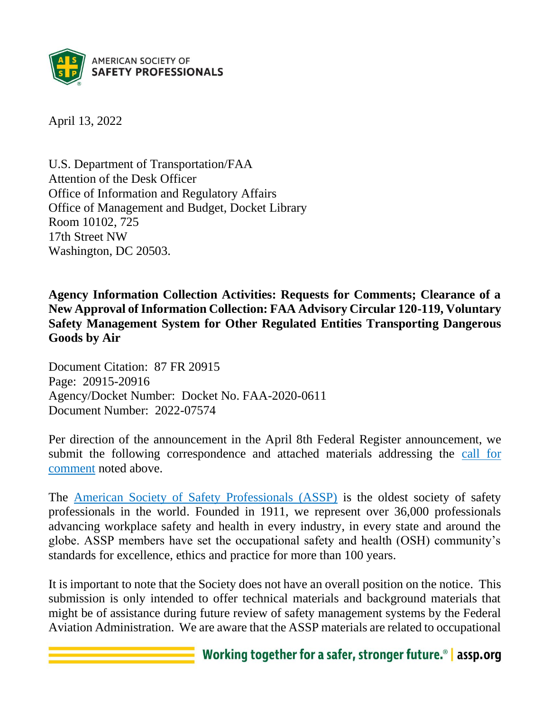

April 13, 2022

U.S. Department of Transportation/FAA Attention of the Desk Officer Office of Information and Regulatory Affairs Office of Management and Budget, Docket Library Room 10102, 725 17th Street NW Washington, DC 20503.

**Agency Information Collection Activities: Requests for Comments; Clearance of a New Approval of Information Collection: FAA Advisory Circular 120-119, Voluntary Safety Management System for Other Regulated Entities Transporting Dangerous Goods by Air**

Document Citation: 87 FR 20915 Page: 20915-20916 Agency/Docket Number: Docket No. FAA-2020-0611 Document Number: 2022-07574

Per direction of the announcement in the April 8th Federal Register announcement, we submit the following correspondence and attached materials addressing the [call for](https://www.federalregister.gov/documents/2022/04/08/2022-07574/agency-information-collection-activities-requests-for-comments-clearance-of-a-new-approval-of)  [comment](https://www.federalregister.gov/documents/2022/04/08/2022-07574/agency-information-collection-activities-requests-for-comments-clearance-of-a-new-approval-of) noted above.

The [American Society of Safety Professionals \(ASSP\)](http://www.assp.org/) is the oldest society of safety professionals in the world. Founded in 1911, we represent over 36,000 professionals advancing workplace safety and health in every industry, in every state and around the globe. ASSP members have set the occupational safety and health (OSH) community's standards for excellence, ethics and practice for more than 100 years.

It is important to note that the Society does not have an overall position on the notice. This submission is only intended to offer technical materials and background materials that might be of assistance during future review of safety management systems by the Federal Aviation Administration. We are aware that the ASSP materials are related to occupational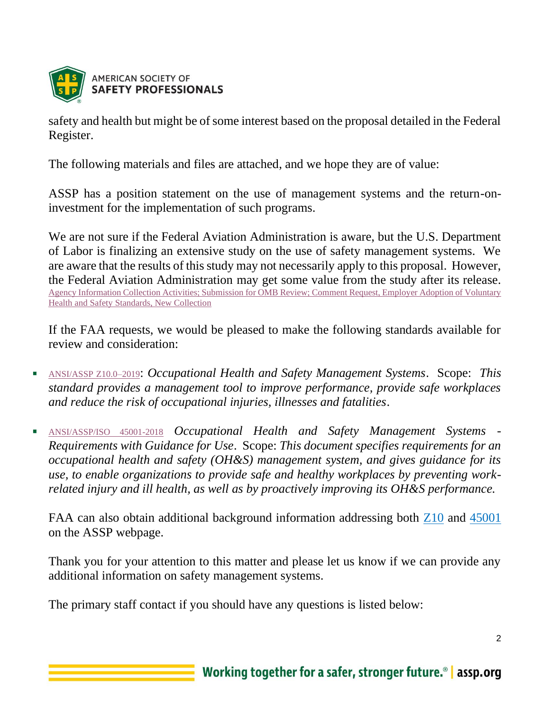

safety and health but might be of some interest based on the proposal detailed in the Federal Register.

The following materials and files are attached, and we hope they are of value:

ASSP has a position statement on the use of management systems and the return-oninvestment for the implementation of such programs.

We are not sure if the Federal Aviation Administration is aware, but the U.S. Department of Labor is finalizing an extensive study on the use of safety management systems. We are aware that the results of this study may not necessarily apply to this proposal. However, the Federal Aviation Administration may get some value from the study after its release. [Agency Information Collection Activities; Submission for OMB Review; Comment Request, Employer Adoption of Voluntary](https://www.federalregister.gov/documents/2019/12/19/2019-27330/agency-information-collection-activities-submission-for-omb-review-comment-request-employer-adoption)  [Health and Safety Standards, New Collection](https://www.federalregister.gov/documents/2019/12/19/2019-27330/agency-information-collection-activities-submission-for-omb-review-comment-request-employer-adoption)

If the FAA requests, we would be pleased to make the following standards available for review and consideration:

- [ANSI/ASSP Z10.0–2019](https://store.assp.org/PersonifyEbusiness/Store/Product-Details/productId/197785872?_ga=2.267043085.2027333293.1623157012-768839618.1623157012): *Occupational Health and Safety Management Systems*. Scope: *This standard provides a management tool to improve performance, provide safe workplaces and reduce the risk of occupational injuries, illnesses and fatalities*.
- [ANSI/ASSP/ISO 45001-2018](https://store.assp.org/PersonifyEbusiness/Store/Product-Details/productId/111405471?_ga=2.117105029.2027333293.1623157012-768839618.1623157012) *Occupational Health and Safety Management Systems - Requirements with Guidance for Use*. Scope: *This document specifies requirements for an occupational health and safety (OH&S) management system, and gives guidance for its use, to enable organizations to provide safe and healthy workplaces by preventing workrelated injury and ill health, as well as by proactively improving its OH&S performance.*

FAA can also obtain additional background information addressing both [Z10](https://www.assp.org/standards/standards-topics/osh-management-z10) and [45001](https://www.assp.org/standards/standards-topics/osh-management-iso-45001) on the ASSP webpage.

Thank you for your attention to this matter and please let us know if we can provide any additional information on safety management systems.

The primary staff contact if you should have any questions is listed below: